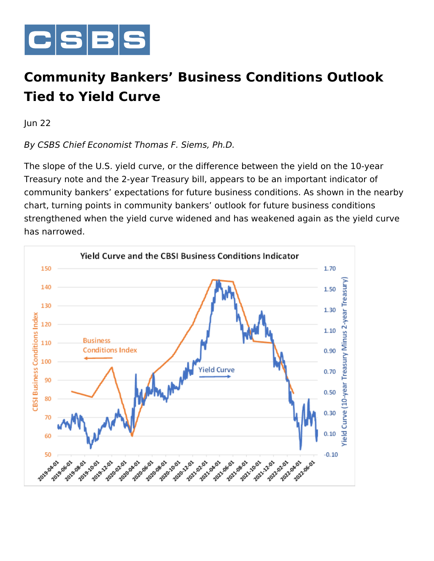

## **Community Bankers' Business Conditions Outlook Tied to Yield Curve**

Jun 22

*By CSBS Chief Economist Thomas F. Siems, Ph.D.* 

The slope of the U.S. yield curve, or the difference between the yield on the 10-year Treasury note and the 2-year Treasury bill, appears to be an important indicator of community bankers' expectations for future business conditions. As shown in the nearby chart, turning points in community bankers' outlook for future business conditions strengthened when the yield curve widened and has weakened again as the yield curve has narrowed.